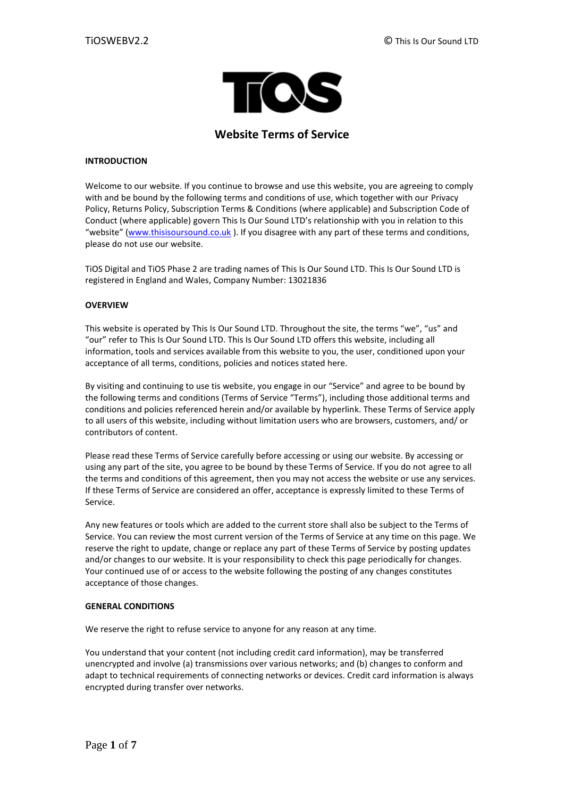

# **Website Terms of Service**

#### **INTRODUCTION**

Welcome to our website. If you continue to browse and use this website, you are agreeing to comply with and be bound by the following terms and conditions of use, which together with our Privacy Policy, Returns Policy, Subscription Terms & Conditions (where applicable) and Subscription Code of Conduct (where applicable) govern This Is Our Sound LTD's relationship with you in relation to this "website" [\(www.thisisoursound.co.uk](http://www.thisisoursound.co.uk/) ). If you disagree with any part of these terms and conditions, please do not use our website.

TiOS Digital and TiOS Phase 2 are trading names of This Is Our Sound LTD. This Is Our Sound LTD is registered in England and Wales, Company Number: 13021836

#### **OVERVIEW**

This website is operated by This Is Our Sound LTD. Throughout the site, the terms "we", "us" and "our" refer to This Is Our Sound LTD. This Is Our Sound LTD offers this website, including all information, tools and services available from this website to you, the user, conditioned upon your acceptance of all terms, conditions, policies and notices stated here.

By visiting and continuing to use tis website, you engage in our "Service" and agree to be bound by the following terms and conditions (Terms of Service "Terms"), including those additional terms and conditions and policies referenced herein and/or available by hyperlink. These Terms of Service apply to all users of this website, including without limitation users who are browsers, customers, and/ or contributors of content.

Please read these Terms of Service carefully before accessing or using our website. By accessing or using any part of the site, you agree to be bound by these Terms of Service. If you do not agree to all the terms and conditions of this agreement, then you may not access the website or use any services. If these Terms of Service are considered an offer, acceptance is expressly limited to these Terms of Service.

Any new features or tools which are added to the current store shall also be subject to the Terms of Service. You can review the most current version of the Terms of Service at any time on this page. We reserve the right to update, change or replace any part of these Terms of Service by posting updates and/or changes to our website. It is your responsibility to check this page periodically for changes. Your continued use of or access to the website following the posting of any changes constitutes acceptance of those changes.

#### **GENERAL CONDITIONS**

We reserve the right to refuse service to anyone for any reason at any time.

You understand that your content (not including credit card information), may be transferred unencrypted and involve (a) transmissions over various networks; and (b) changes to conform and adapt to technical requirements of connecting networks or devices. Credit card information is always encrypted during transfer over networks.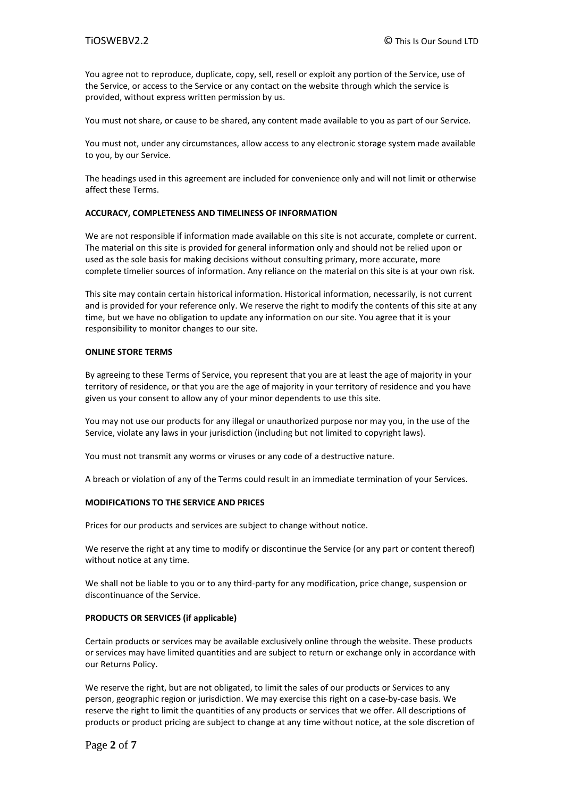You agree not to reproduce, duplicate, copy, sell, resell or exploit any portion of the Service, use of the Service, or access to the Service or any contact on the website through which the service is provided, without express written permission by us.

You must not share, or cause to be shared, any content made available to you as part of our Service.

You must not, under any circumstances, allow access to any electronic storage system made available to you, by our Service.

The headings used in this agreement are included for convenience only and will not limit or otherwise affect these Terms.

## **ACCURACY, COMPLETENESS AND TIMELINESS OF INFORMATION**

We are not responsible if information made available on this site is not accurate, complete or current. The material on this site is provided for general information only and should not be relied upon or used as the sole basis for making decisions without consulting primary, more accurate, more complete timelier sources of information. Any reliance on the material on this site is at your own risk.

This site may contain certain historical information. Historical information, necessarily, is not current and is provided for your reference only. We reserve the right to modify the contents of this site at any time, but we have no obligation to update any information on our site. You agree that it is your responsibility to monitor changes to our site.

#### **ONLINE STORE TERMS**

By agreeing to these Terms of Service, you represent that you are at least the age of majority in your territory of residence, or that you are the age of majority in your territory of residence and you have given us your consent to allow any of your minor dependents to use this site.

You may not use our products for any illegal or unauthorized purpose nor may you, in the use of the Service, violate any laws in your jurisdiction (including but not limited to copyright laws).

You must not transmit any worms or viruses or any code of a destructive nature.

A breach or violation of any of the Terms could result in an immediate termination of your Services.

#### **MODIFICATIONS TO THE SERVICE AND PRICES**

Prices for our products and services are subject to change without notice.

We reserve the right at any time to modify or discontinue the Service (or any part or content thereof) without notice at any time.

We shall not be liable to you or to any third-party for any modification, price change, suspension or discontinuance of the Service.

#### **PRODUCTS OR SERVICES (if applicable)**

Certain products or services may be available exclusively online through the website. These products or services may have limited quantities and are subject to return or exchange only in accordance with our Returns Policy.

We reserve the right, but are not obligated, to limit the sales of our products or Services to any person, geographic region or jurisdiction. We may exercise this right on a case-by-case basis. We reserve the right to limit the quantities of any products or services that we offer. All descriptions of products or product pricing are subject to change at any time without notice, at the sole discretion of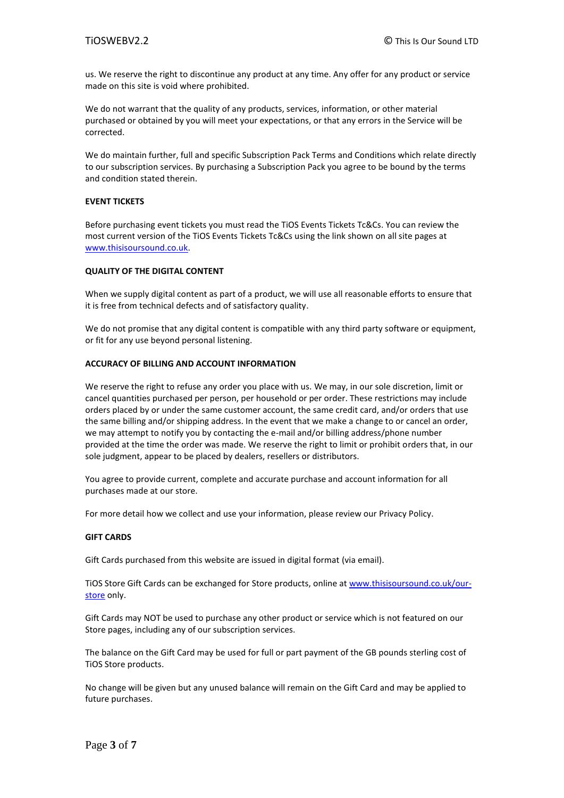us. We reserve the right to discontinue any product at any time. Any offer for any product or service made on this site is void where prohibited.

We do not warrant that the quality of any products, services, information, or other material purchased or obtained by you will meet your expectations, or that any errors in the Service will be corrected.

We do maintain further, full and specific Subscription Pack Terms and Conditions which relate directly to our subscription services. By purchasing a Subscription Pack you agree to be bound by the terms and condition stated therein.

#### **EVENT TICKETS**

Before purchasing event tickets you must read the TiOS Events Tickets Tc&Cs. You can review the most current version of the TiOS Events Tickets Tc&Cs using the link shown on all site pages at [www.thisisoursound.co.uk.](http://www.thisisoursound.co.uk/)

#### **QUALITY OF THE DIGITAL CONTENT**

When we supply digital content as part of a product, we will use all reasonable efforts to ensure that it is free from technical defects and of satisfactory quality.

We do not promise that any digital content is compatible with any third party software or equipment, or fit for any use beyond personal listening.

## **ACCURACY OF BILLING AND ACCOUNT INFORMATION**

We reserve the right to refuse any order you place with us. We may, in our sole discretion, limit or cancel quantities purchased per person, per household or per order. These restrictions may include orders placed by or under the same customer account, the same credit card, and/or orders that use the same billing and/or shipping address. In the event that we make a change to or cancel an order, we may attempt to notify you by contacting the e-mail and/or billing address/phone number provided at the time the order was made. We reserve the right to limit or prohibit orders that, in our sole judgment, appear to be placed by dealers, resellers or distributors.

You agree to provide current, complete and accurate purchase and account information for all purchases made at our store.

For more detail how we collect and use your information, please review our Privacy Policy.

#### **GIFT CARDS**

Gift Cards purchased from this website are issued in digital format (via email).

TiOS Store Gift Cards can be exchanged for Store products, online a[t www.thisisoursound.co.uk/our](http://www.thisisoursound.co.uk/our-store)[store](http://www.thisisoursound.co.uk/our-store) only.

Gift Cards may NOT be used to purchase any other product or service which is not featured on our Store pages, including any of our subscription services.

The balance on the Gift Card may be used for full or part payment of the GB pounds sterling cost of TiOS Store products.

No change will be given but any unused balance will remain on the Gift Card and may be applied to future purchases.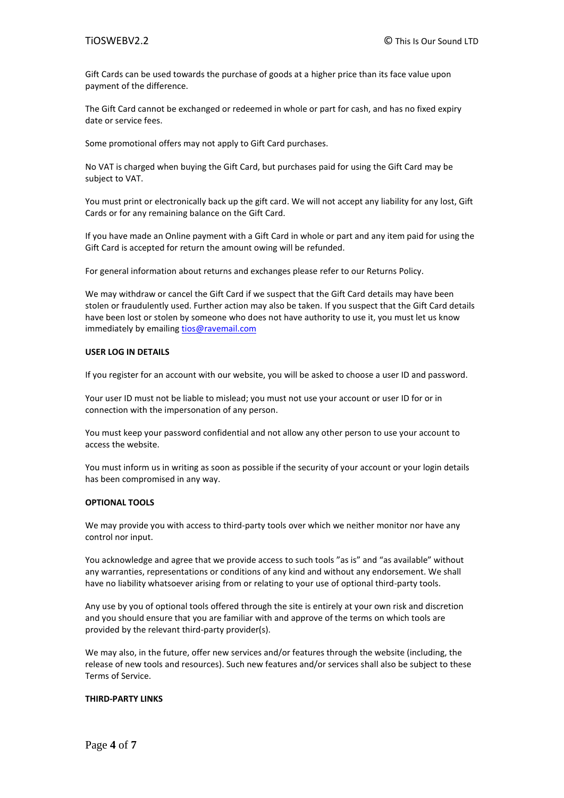Gift Cards can be used towards the purchase of goods at a higher price than its face value upon payment of the difference.

The Gift Card cannot be exchanged or redeemed in whole or part for cash, and has no fixed expiry date or service fees.

Some promotional offers may not apply to Gift Card purchases.

No VAT is charged when buying the Gift Card, but purchases paid for using the Gift Card may be subject to VAT.

You must print or electronically back up the gift card. We will not accept any liability for any lost, Gift Cards or for any remaining balance on the Gift Card.

If you have made an Online payment with a Gift Card in whole or part and any item paid for using the Gift Card is accepted for return the amount owing will be refunded.

For general information about returns and exchanges please refer to our Returns Policy.

We may withdraw or cancel the Gift Card if we suspect that the Gift Card details may have been stolen or fraudulently used. Further action may also be taken. If you suspect that the Gift Card details have been lost or stolen by someone who does not have authority to use it, you must let us know immediately by emailing [tios@ravemail.com](mailto:tios@ravemail.com)

#### **USER LOG IN DETAILS**

If you register for an account with our website, you will be asked to choose a user ID and password.

Your user ID must not be liable to mislead; you must not use your account or user ID for or in connection with the impersonation of any person.

You must keep your password confidential and not allow any other person to use your account to access the website.

You must inform us in writing as soon as possible if the security of your account or your login details has been compromised in any way.

#### **OPTIONAL TOOLS**

We may provide you with access to third-party tools over which we neither monitor nor have any control nor input.

You acknowledge and agree that we provide access to such tools "as is" and "as available" without any warranties, representations or conditions of any kind and without any endorsement. We shall have no liability whatsoever arising from or relating to your use of optional third-party tools.

Any use by you of optional tools offered through the site is entirely at your own risk and discretion and you should ensure that you are familiar with and approve of the terms on which tools are provided by the relevant third-party provider(s).

We may also, in the future, offer new services and/or features through the website (including, the release of new tools and resources). Such new features and/or services shall also be subject to these Terms of Service.

#### **THIRD-PARTY LINKS**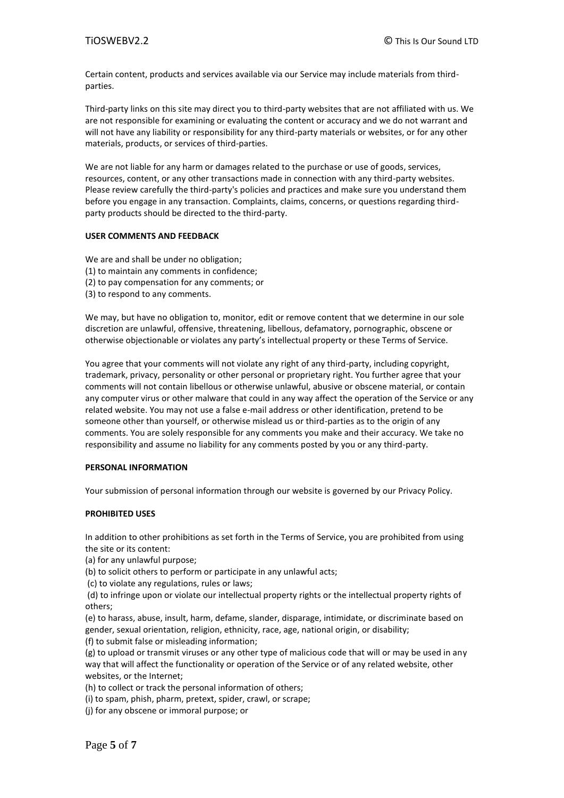Certain content, products and services available via our Service may include materials from thirdparties.

Third-party links on this site may direct you to third-party websites that are not affiliated with us. We are not responsible for examining or evaluating the content or accuracy and we do not warrant and will not have any liability or responsibility for any third-party materials or websites, or for any other materials, products, or services of third-parties.

We are not liable for any harm or damages related to the purchase or use of goods, services, resources, content, or any other transactions made in connection with any third-party websites. Please review carefully the third-party's policies and practices and make sure you understand them before you engage in any transaction. Complaints, claims, concerns, or questions regarding thirdparty products should be directed to the third-party.

#### **USER COMMENTS AND FEEDBACK**

We are and shall be under no obligation;

- (1) to maintain any comments in confidence;
- (2) to pay compensation for any comments; or
- (3) to respond to any comments.

We may, but have no obligation to, monitor, edit or remove content that we determine in our sole discretion are unlawful, offensive, threatening, libellous, defamatory, pornographic, obscene or otherwise objectionable or violates any party's intellectual property or these Terms of Service.

You agree that your comments will not violate any right of any third-party, including copyright, trademark, privacy, personality or other personal or proprietary right. You further agree that your comments will not contain libellous or otherwise unlawful, abusive or obscene material, or contain any computer virus or other malware that could in any way affect the operation of the Service or any related website. You may not use a false e-mail address or other identification, pretend to be someone other than yourself, or otherwise mislead us or third-parties as to the origin of any comments. You are solely responsible for any comments you make and their accuracy. We take no responsibility and assume no liability for any comments posted by you or any third-party.

#### **PERSONAL INFORMATION**

Your submission of personal information through our website is governed by our Privacy Policy.

# **PROHIBITED USES**

In addition to other prohibitions as set forth in the Terms of Service, you are prohibited from using the site or its content:

(a) for any unlawful purpose;

(b) to solicit others to perform or participate in any unlawful acts;

(c) to violate any regulations, rules or laws;

(d) to infringe upon or violate our intellectual property rights or the intellectual property rights of others;

(e) to harass, abuse, insult, harm, defame, slander, disparage, intimidate, or discriminate based on gender, sexual orientation, religion, ethnicity, race, age, national origin, or disability; (f) to submit false or misleading information;

(g) to upload or transmit viruses or any other type of malicious code that will or may be used in any way that will affect the functionality or operation of the Service or of any related website, other websites, or the Internet;

(h) to collect or track the personal information of others;

(i) to spam, phish, pharm, pretext, spider, crawl, or scrape;

(j) for any obscene or immoral purpose; or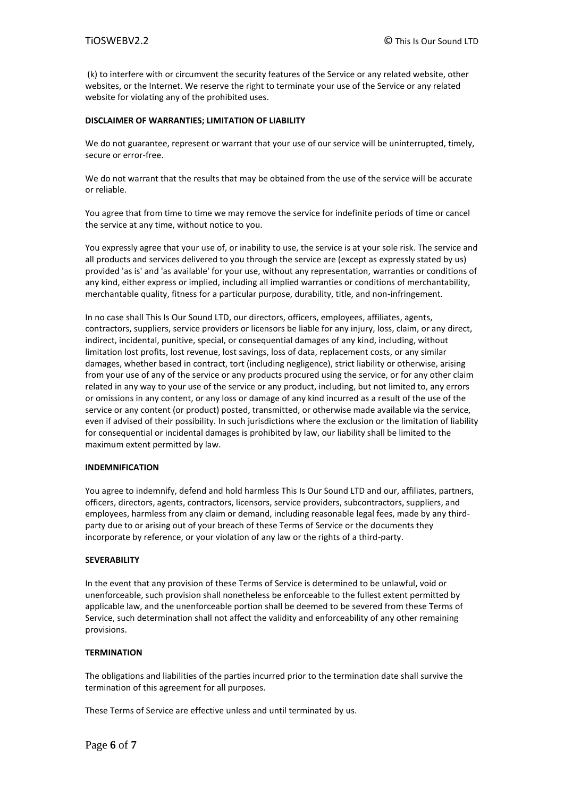(k) to interfere with or circumvent the security features of the Service or any related website, other websites, or the Internet. We reserve the right to terminate your use of the Service or any related website for violating any of the prohibited uses.

#### **DISCLAIMER OF WARRANTIES; LIMITATION OF LIABILITY**

We do not guarantee, represent or warrant that your use of our service will be uninterrupted, timely, secure or error-free.

We do not warrant that the results that may be obtained from the use of the service will be accurate or reliable.

You agree that from time to time we may remove the service for indefinite periods of time or cancel the service at any time, without notice to you.

You expressly agree that your use of, or inability to use, the service is at your sole risk. The service and all products and services delivered to you through the service are (except as expressly stated by us) provided 'as is' and 'as available' for your use, without any representation, warranties or conditions of any kind, either express or implied, including all implied warranties or conditions of merchantability, merchantable quality, fitness for a particular purpose, durability, title, and non-infringement.

In no case shall This Is Our Sound LTD, our directors, officers, employees, affiliates, agents, contractors, suppliers, service providers or licensors be liable for any injury, loss, claim, or any direct, indirect, incidental, punitive, special, or consequential damages of any kind, including, without limitation lost profits, lost revenue, lost savings, loss of data, replacement costs, or any similar damages, whether based in contract, tort (including negligence), strict liability or otherwise, arising from your use of any of the service or any products procured using the service, or for any other claim related in any way to your use of the service or any product, including, but not limited to, any errors or omissions in any content, or any loss or damage of any kind incurred as a result of the use of the service or any content (or product) posted, transmitted, or otherwise made available via the service, even if advised of their possibility. In such jurisdictions where the exclusion or the limitation of liability for consequential or incidental damages is prohibited by law, our liability shall be limited to the maximum extent permitted by law.

#### **INDEMNIFICATION**

You agree to indemnify, defend and hold harmless This Is Our Sound LTD and our, affiliates, partners, officers, directors, agents, contractors, licensors, service providers, subcontractors, suppliers, and employees, harmless from any claim or demand, including reasonable legal fees, made by any thirdparty due to or arising out of your breach of these Terms of Service or the documents they incorporate by reference, or your violation of any law or the rights of a third-party.

#### **SEVERABILITY**

In the event that any provision of these Terms of Service is determined to be unlawful, void or unenforceable, such provision shall nonetheless be enforceable to the fullest extent permitted by applicable law, and the unenforceable portion shall be deemed to be severed from these Terms of Service, such determination shall not affect the validity and enforceability of any other remaining provisions.

#### **TERMINATION**

The obligations and liabilities of the parties incurred prior to the termination date shall survive the termination of this agreement for all purposes.

These Terms of Service are effective unless and until terminated by us.